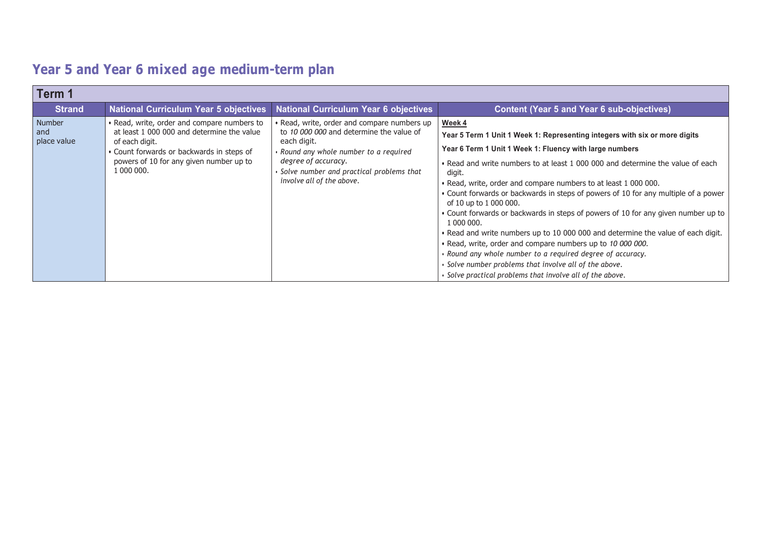| Term 1                       |                                                                                                                                                                                                                   |                                                                                                                                                                                                                                                |                                                                                                                                                                                                                                                                                                                                                                                                                                                                                                                                                                                                                                                                                                                                                                                                                                                                                |
|------------------------------|-------------------------------------------------------------------------------------------------------------------------------------------------------------------------------------------------------------------|------------------------------------------------------------------------------------------------------------------------------------------------------------------------------------------------------------------------------------------------|--------------------------------------------------------------------------------------------------------------------------------------------------------------------------------------------------------------------------------------------------------------------------------------------------------------------------------------------------------------------------------------------------------------------------------------------------------------------------------------------------------------------------------------------------------------------------------------------------------------------------------------------------------------------------------------------------------------------------------------------------------------------------------------------------------------------------------------------------------------------------------|
| <b>Strand</b>                | <b>National Curriculum Year 5 objectives</b>                                                                                                                                                                      | <b>National Curriculum Year 6 objectives</b>                                                                                                                                                                                                   | <b>Content (Year 5 and Year 6 sub-objectives)</b>                                                                                                                                                                                                                                                                                                                                                                                                                                                                                                                                                                                                                                                                                                                                                                                                                              |
| Number<br>and<br>place value | • Read, write, order and compare numbers to<br>at least 1,000,000 and determine the value<br>of each digit.<br>• Count forwards or backwards in steps of<br>powers of 10 for any given number up to<br>1 000 000. | • Read, write, order and compare numbers up<br>to 10 000 000 and determine the value of<br>each digit.<br>Round any whole number to a required<br>degree of accuracy.<br>Solve number and practical problems that<br>involve all of the above. | Week 4<br>Year 5 Term 1 Unit 1 Week 1: Representing integers with six or more digits<br>Year 6 Term 1 Unit 1 Week 1: Fluency with large numbers<br>• Read and write numbers to at least 1 000 000 and determine the value of each<br>digit.<br>. Read, write, order and compare numbers to at least 1 000 000.<br>• Count forwards or backwards in steps of powers of 10 for any multiple of a power<br>of 10 up to 1 000 000.<br>• Count forwards or backwards in steps of powers of 10 for any given number up to<br>1 000 000.<br>. Read and write numbers up to 10 000 000 and determine the value of each digit.<br>. Read, write, order and compare numbers up to 10 000 000.<br>· Round any whole number to a required degree of accuracy.<br>$\cdot$ Solve number problems that involve all of the above.<br>· Solve practical problems that involve all of the above. |

## **Year 5 and Year 6 mixed age medium-term plan**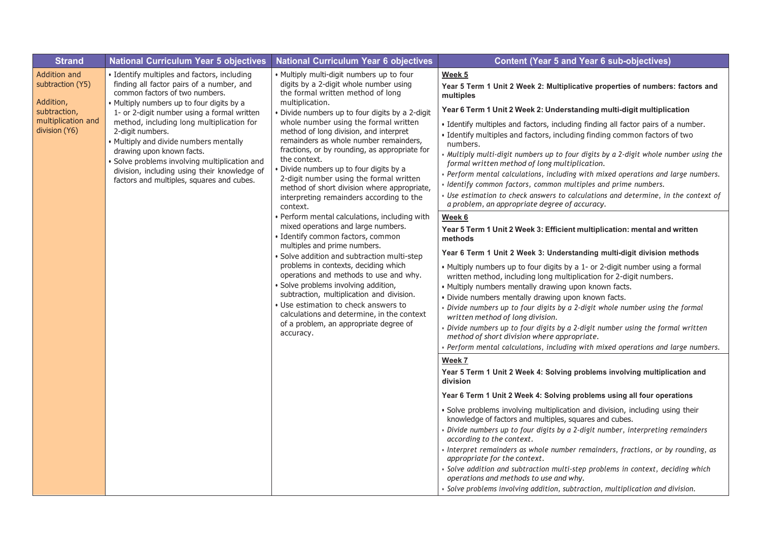| <b>Strand</b>                                                                                        | <b>National Curriculum Year 5 objectives</b>                                                                                                                                                                                                                                                                                                                                                                                                                                                               | <b>National Curriculum Year 6 objectives</b>                                                                                                                                                                                                                                                                                                                                                                                                                                                                                                                                          | <b>Content (Year 5 and Year 6 sub-objectives)</b>                                                                                                                                                                                                                                                                                                                                                                                                                                                                                                                                                                                                                                                                                                                                                                                                                                                                                                                                                                                                                                                                                                                                                                                                                                                                                                |
|------------------------------------------------------------------------------------------------------|------------------------------------------------------------------------------------------------------------------------------------------------------------------------------------------------------------------------------------------------------------------------------------------------------------------------------------------------------------------------------------------------------------------------------------------------------------------------------------------------------------|---------------------------------------------------------------------------------------------------------------------------------------------------------------------------------------------------------------------------------------------------------------------------------------------------------------------------------------------------------------------------------------------------------------------------------------------------------------------------------------------------------------------------------------------------------------------------------------|--------------------------------------------------------------------------------------------------------------------------------------------------------------------------------------------------------------------------------------------------------------------------------------------------------------------------------------------------------------------------------------------------------------------------------------------------------------------------------------------------------------------------------------------------------------------------------------------------------------------------------------------------------------------------------------------------------------------------------------------------------------------------------------------------------------------------------------------------------------------------------------------------------------------------------------------------------------------------------------------------------------------------------------------------------------------------------------------------------------------------------------------------------------------------------------------------------------------------------------------------------------------------------------------------------------------------------------------------|
| Addition and<br>subtraction (Y5)<br>Addition,<br>subtraction,<br>multiplication and<br>division (Y6) | · Identify multiples and factors, including<br>finding all factor pairs of a number, and<br>common factors of two numbers.<br>· Multiply numbers up to four digits by a<br>1- or 2-digit number using a formal written<br>method, including long multiplication for<br>2-digit numbers.<br>• Multiply and divide numbers mentally<br>drawing upon known facts.<br>Solve problems involving multiplication and<br>division, including using their knowledge of<br>factors and multiples, squares and cubes. | . Multiply multi-digit numbers up to four<br>digits by a 2-digit whole number using<br>the formal written method of long<br>multiplication.<br>Divide numbers up to four digits by a 2-digit<br>whole number using the formal written<br>method of long division, and interpret<br>remainders as whole number remainders,<br>fractions, or by rounding, as appropriate for<br>the context.<br>Divide numbers up to four digits by a<br>2-digit number using the formal written<br>method of short division where appropriate,<br>interpreting remainders according to the<br>context. | Week 5<br>Year 5 Term 1 Unit 2 Week 2: Multiplicative properties of numbers: factors and<br>multiples<br>Year 6 Term 1 Unit 2 Week 2: Understanding multi-digit multiplication<br>. Identify multiples and factors, including finding all factor pairs of a number.<br>· Identify multiples and factors, including finding common factors of two<br>numbers.<br>· Multiply multi-digit numbers up to four digits by a 2-digit whole number using the<br>formal written method of long multiplication.<br>Perform mental calculations, including with mixed operations and large numbers.<br>· Identify common factors, common multiples and prime numbers.<br>Use estimation to check answers to calculations and determine, in the context of<br>a problem, an appropriate degree of accuracy.                                                                                                                                                                                                                                                                                                                                                                                                                                                                                                                                                  |
|                                                                                                      |                                                                                                                                                                                                                                                                                                                                                                                                                                                                                                            | · Perform mental calculations, including with<br>mixed operations and large numbers.<br>· Identify common factors, common<br>multiples and prime numbers.<br>Solve addition and subtraction multi-step<br>problems in contexts, deciding which<br>operations and methods to use and why.<br>Solve problems involving addition,<br>subtraction, multiplication and division.<br>• Use estimation to check answers to<br>calculations and determine, in the context<br>of a problem, an appropriate degree of<br>accuracy.                                                              | Week 6<br>Year 5 Term 1 Unit 2 Week 3: Efficient multiplication: mental and written<br>methods<br>Year 6 Term 1 Unit 2 Week 3: Understanding multi-digit division methods<br>• Multiply numbers up to four digits by a 1- or 2-digit number using a formal<br>written method, including long multiplication for 2-digit numbers.<br>· Multiply numbers mentally drawing upon known facts.<br>· Divide numbers mentally drawing upon known facts.<br>Divide numbers up to four digits by a 2-digit whole number using the formal<br>written method of long division.<br>Divide numbers up to four digits by a 2-digit number using the formal written<br>method of short division where appropriate.<br>Perform mental calculations, including with mixed operations and large numbers.<br>Week 7<br>Year 5 Term 1 Unit 2 Week 4: Solving problems involving multiplication and<br>division<br>Year 6 Term 1 Unit 2 Week 4: Solving problems using all four operations<br>· Solve problems involving multiplication and division, including using their<br>knowledge of factors and multiples, squares and cubes.<br>Divide numbers up to four digits by a 2-digit number, interpreting remainders<br>according to the context.<br>Interpret remainders as whole number remainders, fractions, or by rounding, as<br>appropriate for the context. |
|                                                                                                      |                                                                                                                                                                                                                                                                                                                                                                                                                                                                                                            |                                                                                                                                                                                                                                                                                                                                                                                                                                                                                                                                                                                       | Solve addition and subtraction multi-step problems in context, deciding which<br>operations and methods to use and why.<br>· Solve problems involving addition, subtraction, multiplication and division.                                                                                                                                                                                                                                                                                                                                                                                                                                                                                                                                                                                                                                                                                                                                                                                                                                                                                                                                                                                                                                                                                                                                        |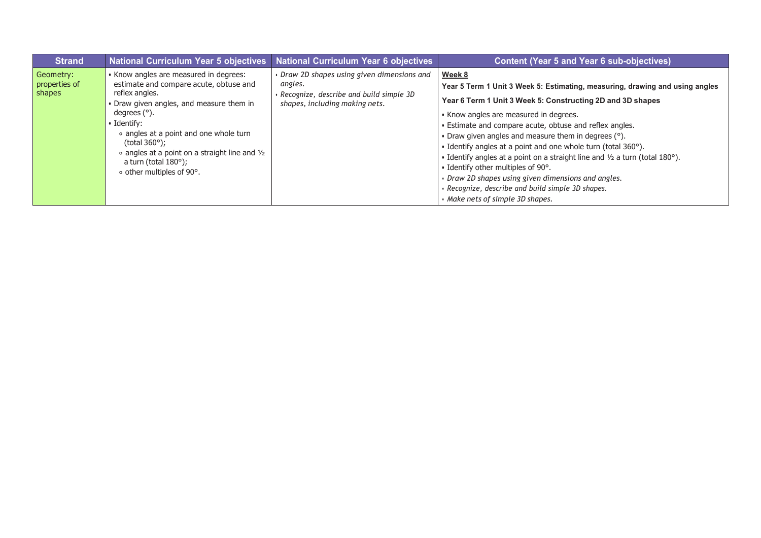| <b>Strand</b>                        | <b>National Curriculum Year 5 objectives</b>                                                                                                                                                                                                                                                                                                                                             | <b>National Curriculum Year 6 objectives</b>                                                                                      | <b>Content (Year 5 and Year 6 sub-objectives)</b>                                                                                                                                                                                                                                                                                                                                                                                                                                                                                                                                                                                                                                |
|--------------------------------------|------------------------------------------------------------------------------------------------------------------------------------------------------------------------------------------------------------------------------------------------------------------------------------------------------------------------------------------------------------------------------------------|-----------------------------------------------------------------------------------------------------------------------------------|----------------------------------------------------------------------------------------------------------------------------------------------------------------------------------------------------------------------------------------------------------------------------------------------------------------------------------------------------------------------------------------------------------------------------------------------------------------------------------------------------------------------------------------------------------------------------------------------------------------------------------------------------------------------------------|
| Geometry:<br>properties of<br>shapes | • Know angles are measured in degrees:<br>estimate and compare acute, obtuse and<br>reflex angles.<br>• Draw given angles, and measure them in<br>degrees $(°)$ .<br>$\cdot$ Identify:<br>• angles at a point and one whole turn<br>(total $360^\circ$ );<br>$\circ$ angles at a point on a straight line and $\frac{1}{2}$<br>a turn (total $180^\circ$ );<br>∘ other multiples of 90°. | Draw 2D shapes using given dimensions and<br>angles.<br>Recognize, describe and build simple 3D<br>shapes, including making nets. | Week 8<br>Year 5 Term 1 Unit 3 Week 5: Estimating, measuring, drawing and using angles<br>Year 6 Term 1 Unit 3 Week 5: Constructing 2D and 3D shapes<br>• Know angles are measured in degrees.<br>• Estimate and compare acute, obtuse and reflex angles.<br>• Draw given angles and measure them in degrees $(°)$ .<br>• Identify angles at a point and one whole turn (total 360°).<br>• Identify angles at a point on a straight line and $\frac{1}{2}$ a turn (total 180 $^{\circ}$ ).<br>• Identify other multiples of 90°.<br>• Draw 2D shapes using given dimensions and angles.<br>· Recognize, describe and build simple 3D shapes.<br>• Make nets of simple 3D shapes. |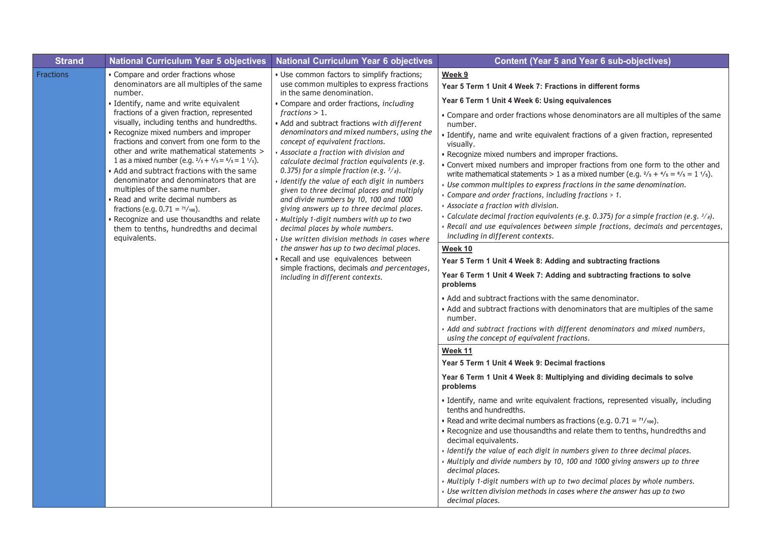| <b>Strand</b> | <b>National Curriculum Year 5 objectives</b>                                                                                                                                                                                                                                                                                                                                                                                                                                                                                                                                                                                                                                                                                                                                          | <b>National Curriculum Year 6 objectives</b>                                                                                                                                                                                                                                                                                                                                                                                                                                                                                                                                                                                                                                                                                                                                                                                                                                                                                                          | <b>Content (Year 5 and Year 6 sub-objectives)</b>                                                                                                                                                                                                                                                                                                                                                                                                                                                                                                                                                                                                                                                                                                                                                                                                                                                                                                                                                                                                                                                                                                                                                                                                                                                                                                                                                                                                                                                                                                                                                                                                                                                                                                                                                                                                                                                                                                                                                                                                                                                                                                                                                                                                                |
|---------------|---------------------------------------------------------------------------------------------------------------------------------------------------------------------------------------------------------------------------------------------------------------------------------------------------------------------------------------------------------------------------------------------------------------------------------------------------------------------------------------------------------------------------------------------------------------------------------------------------------------------------------------------------------------------------------------------------------------------------------------------------------------------------------------|-------------------------------------------------------------------------------------------------------------------------------------------------------------------------------------------------------------------------------------------------------------------------------------------------------------------------------------------------------------------------------------------------------------------------------------------------------------------------------------------------------------------------------------------------------------------------------------------------------------------------------------------------------------------------------------------------------------------------------------------------------------------------------------------------------------------------------------------------------------------------------------------------------------------------------------------------------|------------------------------------------------------------------------------------------------------------------------------------------------------------------------------------------------------------------------------------------------------------------------------------------------------------------------------------------------------------------------------------------------------------------------------------------------------------------------------------------------------------------------------------------------------------------------------------------------------------------------------------------------------------------------------------------------------------------------------------------------------------------------------------------------------------------------------------------------------------------------------------------------------------------------------------------------------------------------------------------------------------------------------------------------------------------------------------------------------------------------------------------------------------------------------------------------------------------------------------------------------------------------------------------------------------------------------------------------------------------------------------------------------------------------------------------------------------------------------------------------------------------------------------------------------------------------------------------------------------------------------------------------------------------------------------------------------------------------------------------------------------------------------------------------------------------------------------------------------------------------------------------------------------------------------------------------------------------------------------------------------------------------------------------------------------------------------------------------------------------------------------------------------------------------------------------------------------------------------------------------------------------|
| Fractions     | • Compare and order fractions whose<br>denominators are all multiples of the same<br>number.<br>· Identify, name and write equivalent<br>fractions of a given fraction, represented<br>visually, including tenths and hundredths.<br>· Recognize mixed numbers and improper<br>fractions and convert from one form to the<br>other and write mathematical statements ><br>1 as a mixed number (e.g. $\frac{2}{5} + \frac{4}{5} = \frac{6}{5} = 1 \frac{1}{5}$ ).<br>• Add and subtract fractions with the same<br>denominator and denominators that are<br>multiples of the same number.<br>• Read and write decimal numbers as<br>fractions (e.g. $0.71 = \frac{71}{100}$ ).<br>• Recognize and use thousandths and relate<br>them to tenths, hundredths and decimal<br>equivalents. | · Use common factors to simplify fractions;<br>use common multiples to express fractions<br>in the same denomination.<br>• Compare and order fractions, including<br>fractions > 1.<br>• Add and subtract fractions with different<br>denominators and mixed numbers, using the<br>concept of equivalent fractions.<br>Associate a fraction with division and<br>calculate decimal fraction equivalents (e.g.<br>0.375) for a simple fraction (e.g. $3/s$ ).<br>Identify the value of each digit in numbers<br>given to three decimal places and multiply<br>and divide numbers by 10, 100 and 1000<br>giving answers up to three decimal places.<br>Multiply 1-digit numbers with up to two<br>decimal places by whole numbers.<br>Use written division methods in cases where<br>the answer has up to two decimal places.<br>Recall and use equivalences between<br>simple fractions, decimals and percentages,<br>including in different contexts. | Week 9<br>Year 5 Term 1 Unit 4 Week 7: Fractions in different forms<br>Year 6 Term 1 Unit 4 Week 6: Using equivalences<br>• Compare and order fractions whose denominators are all multiples of the same<br>number.<br>Identify, name and write equivalent fractions of a given fraction, represented<br>visually.<br>• Recognize mixed numbers and improper fractions.<br>• Convert mixed numbers and improper fractions from one form to the other and<br>write mathematical statements > 1 as a mixed number (e.g. $\frac{2}{5} + \frac{4}{5} = \frac{6}{5} = 1 \frac{1}{5}$ ).<br>Use common multiples to express fractions in the same denomination.<br>Compare and order fractions, including fractions > 1.<br>Associate a fraction with division.<br>Galculate decimal fraction equivalents (e.g. 0.375) for a simple fraction (e.g. $\frac{3}{s}$ ).<br>Recall and use equivalences between simple fractions, decimals and percentages,<br>including in different contexts.<br><u>Week 10</u><br>Year 5 Term 1 Unit 4 Week 8: Adding and subtracting fractions<br>Year 6 Term 1 Unit 4 Week 7: Adding and subtracting fractions to solve<br>problems<br>• Add and subtract fractions with the same denominator.<br>. Add and subtract fractions with denominators that are multiples of the same<br>number.<br>Add and subtract fractions with different denominators and mixed numbers,<br>using the concept of equivalent fractions.<br>Week 11<br>Year 5 Term 1 Unit 4 Week 9: Decimal fractions<br>Year 6 Term 1 Unit 4 Week 8: Multiplying and dividing decimals to solve<br>problems<br>· Identify, name and write equivalent fractions, represented visually, including<br>tenths and hundredths.<br>• Read and write decimal numbers as fractions (e.g. $0.71 = \frac{71}{100}$ ).<br>. Recognize and use thousandths and relate them to tenths, hundredths and<br>decimal equivalents.<br>· Identify the value of each digit in numbers given to three decimal places.<br>Multiply and divide numbers by 10, 100 and 1000 giving answers up to three<br>decimal places.<br>Multiply 1-digit numbers with up to two decimal places by whole numbers.<br>Use written division methods in cases where the answer has up to two<br>decimal places. |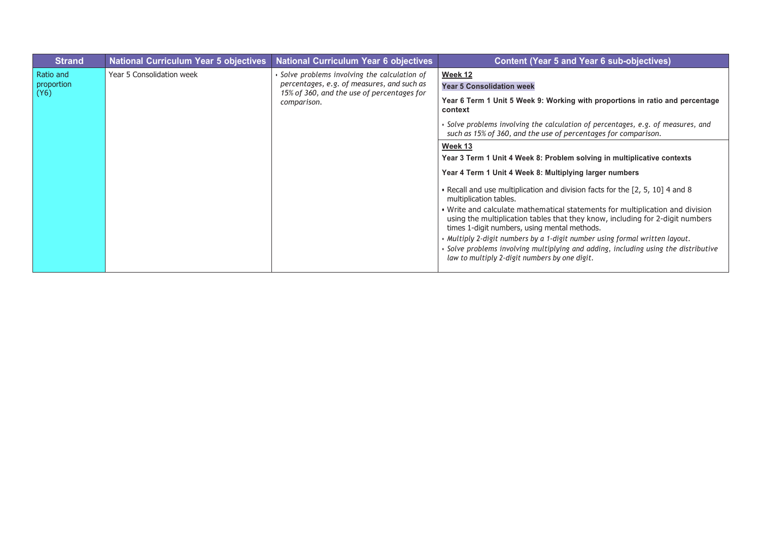| <b>Strand</b>           | <b>National Curriculum Year 5 objectives</b>                                                                                                                                                  | <b>National Curriculum Year 6 objectives</b>                                             | <b>Content (Year 5 and Year 6 sub-objectives)</b>                                                                                                                                                              |
|-------------------------|-----------------------------------------------------------------------------------------------------------------------------------------------------------------------------------------------|------------------------------------------------------------------------------------------|----------------------------------------------------------------------------------------------------------------------------------------------------------------------------------------------------------------|
| Ratio and<br>proportion | Year 5 Consolidation week<br>· Solve problems involving the calculation of<br>percentages, e.g. of measures, and such as<br>15% of 360, and the use of percentages for<br>(Y6)<br>comparison. |                                                                                          | Week 12                                                                                                                                                                                                        |
|                         |                                                                                                                                                                                               |                                                                                          | <b>Year 5 Consolidation week</b>                                                                                                                                                                               |
|                         |                                                                                                                                                                                               | Year 6 Term 1 Unit 5 Week 9: Working with proportions in ratio and percentage<br>context |                                                                                                                                                                                                                |
|                         |                                                                                                                                                                                               |                                                                                          | • Solve problems involving the calculation of percentages, e.g. of measures, and<br>such as 15% of 360, and the use of percentages for comparison.                                                             |
|                         |                                                                                                                                                                                               |                                                                                          | Week 13                                                                                                                                                                                                        |
|                         |                                                                                                                                                                                               |                                                                                          | Year 3 Term 1 Unit 4 Week 8: Problem solving in multiplicative contexts                                                                                                                                        |
|                         |                                                                                                                                                                                               |                                                                                          | Year 4 Term 1 Unit 4 Week 8: Multiplying larger numbers                                                                                                                                                        |
|                         |                                                                                                                                                                                               |                                                                                          | • Recall and use multiplication and division facts for the [2, 5, 10] 4 and 8<br>multiplication tables.                                                                                                        |
|                         |                                                                                                                                                                                               |                                                                                          | . Write and calculate mathematical statements for multiplication and division<br>using the multiplication tables that they know, including for 2-digit numbers<br>times 1-digit numbers, using mental methods. |
|                         |                                                                                                                                                                                               |                                                                                          | • Multiply 2-digit numbers by a 1-digit number using formal written layout.                                                                                                                                    |
|                         |                                                                                                                                                                                               |                                                                                          | · Solve problems involving multiplying and adding, including using the distributive<br>law to multiply 2-digit numbers by one digit.                                                                           |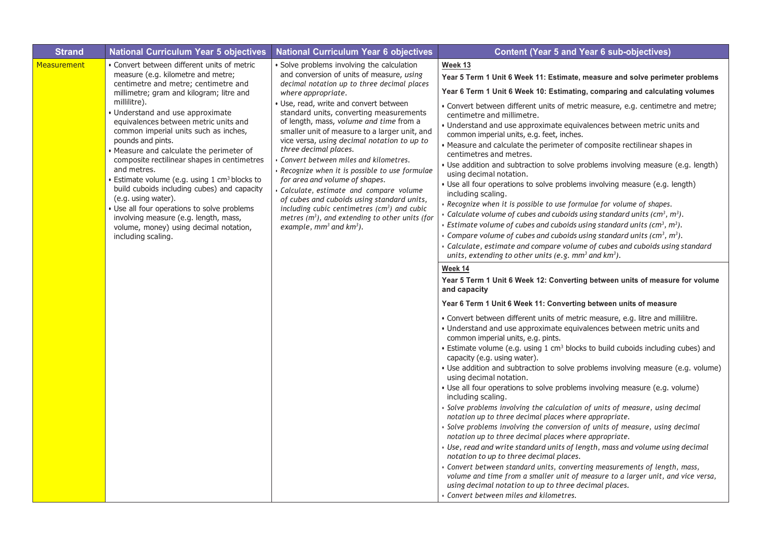| <b>Strand</b>      | <b>National Curriculum Year 5 objectives</b>                                                                                                                                                                                                                                                                                                                                                                                                                                                                                                                                                                                                                                                                                      | <b>National Curriculum Year 6 objectives</b>                                                                                                                                                                                                                                                                                                                                                                                                                                                                                                                                                                                                                                                                                                                                    | <b>Content (Year 5 and Year 6 sub-objectives)</b>                                                                                                                                                                                                                                                                                                                                                                                                                                                                                                                                                                                                                                                                                                                                                                                                                                                                                                                                                                                                                                                                                                                                                                                                                                                                                                                                                                                                                                                                                                                                                                                                                                                                                                                                                                                                                                                                                                                                                                                                                                                                                                                                                                                                                                                                                                                                                                                                                                                                                                                                                                                       |
|--------------------|-----------------------------------------------------------------------------------------------------------------------------------------------------------------------------------------------------------------------------------------------------------------------------------------------------------------------------------------------------------------------------------------------------------------------------------------------------------------------------------------------------------------------------------------------------------------------------------------------------------------------------------------------------------------------------------------------------------------------------------|---------------------------------------------------------------------------------------------------------------------------------------------------------------------------------------------------------------------------------------------------------------------------------------------------------------------------------------------------------------------------------------------------------------------------------------------------------------------------------------------------------------------------------------------------------------------------------------------------------------------------------------------------------------------------------------------------------------------------------------------------------------------------------|-----------------------------------------------------------------------------------------------------------------------------------------------------------------------------------------------------------------------------------------------------------------------------------------------------------------------------------------------------------------------------------------------------------------------------------------------------------------------------------------------------------------------------------------------------------------------------------------------------------------------------------------------------------------------------------------------------------------------------------------------------------------------------------------------------------------------------------------------------------------------------------------------------------------------------------------------------------------------------------------------------------------------------------------------------------------------------------------------------------------------------------------------------------------------------------------------------------------------------------------------------------------------------------------------------------------------------------------------------------------------------------------------------------------------------------------------------------------------------------------------------------------------------------------------------------------------------------------------------------------------------------------------------------------------------------------------------------------------------------------------------------------------------------------------------------------------------------------------------------------------------------------------------------------------------------------------------------------------------------------------------------------------------------------------------------------------------------------------------------------------------------------------------------------------------------------------------------------------------------------------------------------------------------------------------------------------------------------------------------------------------------------------------------------------------------------------------------------------------------------------------------------------------------------------------------------------------------------------------------------------------------------|
| <b>Measurement</b> | · Convert between different units of metric<br>measure (e.g. kilometre and metre;<br>centimetre and metre; centimetre and<br>millimetre; gram and kilogram; litre and<br>millilitre).<br>Understand and use approximate<br>equivalences between metric units and<br>common imperial units such as inches,<br>pounds and pints.<br>· Measure and calculate the perimeter of<br>composite rectilinear shapes in centimetres<br>and metres.<br>Estimate volume (e.g. using 1 cm <sup>3</sup> blocks to<br>build cuboids including cubes) and capacity<br>(e.g. using water).<br>· Use all four operations to solve problems<br>involving measure (e.g. length, mass,<br>volume, money) using decimal notation,<br>including scaling. | Solve problems involving the calculation<br>and conversion of units of measure, using<br>decimal notation up to three decimal places<br>where appropriate.<br>· Use, read, write and convert between<br>standard units, converting measurements<br>of length, mass, volume and time from a<br>smaller unit of measure to a larger unit, and<br>vice versa, using decimal notation to up to<br>three decimal places.<br>Convert between miles and kilometres.<br>Recognize when it is possible to use formulae<br>for area and volume of shapes.<br>Calculate, estimate and compare volume<br>of cubes and cuboids using standard units,<br>including cubic centimetres $(cm^3)$ and cubic<br>metres $(m3)$ , and extending to other units (for<br>example, $mm^3$ and $km^3$ ). | Week 13<br>Year 5 Term 1 Unit 6 Week 11: Estimate, measure and solve perimeter problems<br>Year 6 Term 1 Unit 6 Week 10: Estimating, comparing and calculating volumes<br>• Convert between different units of metric measure, e.g. centimetre and metre;<br>centimetre and millimetre.<br>• Understand and use approximate equivalences between metric units and<br>common imperial units, e.g. feet, inches.<br>• Measure and calculate the perimeter of composite rectilinear shapes in<br>centimetres and metres.<br>• Use addition and subtraction to solve problems involving measure (e.g. length)<br>using decimal notation.<br>· Use all four operations to solve problems involving measure (e.g. length)<br>including scaling.<br>Recognize when it is possible to use formulae for volume of shapes.<br>Galculate volume of cubes and cuboids using standard units (cm <sup>3</sup> , m <sup>3</sup> ).<br>• Estimate volume of cubes and cuboids using standard units ( $\text{cm}^3$ , $\text{m}^3$ ).<br>Gompare volume of cubes and cuboids using standard units ( $\text{cm}^3$ , $\text{m}^3$ ).<br>Galculate, estimate and compare volume of cubes and cuboids using standard<br>units, extending to other units (e.g. $mm3$ and $km3$ ).<br>Week 14<br>Year 5 Term 1 Unit 6 Week 12: Converting between units of measure for volume<br>and capacity<br>Year 6 Term 1 Unit 6 Week 11: Converting between units of measure<br>· Convert between different units of metric measure, e.g. litre and millilitre.<br>• Understand and use approximate equivalences between metric units and<br>common imperial units, e.g. pints.<br>• Estimate volume (e.g. using 1 cm <sup>3</sup> blocks to build cuboids including cubes) and<br>capacity (e.g. using water).<br>• Use addition and subtraction to solve problems involving measure (e.g. volume)<br>using decimal notation.<br>· Use all four operations to solve problems involving measure (e.g. volume)<br>including scaling.<br>Solve problems involving the calculation of units of measure, using decimal<br>notation up to three decimal places where appropriate.<br>Solve problems involving the conversion of units of measure, using decimal<br>notation up to three decimal places where appropriate.<br>Use, read and write standard units of length, mass and volume using decimal<br>notation to up to three decimal places.<br>Convert between standard units, converting measurements of length, mass,<br>volume and time from a smaller unit of measure to a larger unit, and vice versa,<br>using decimal notation to up to three decimal places. |
|                    |                                                                                                                                                                                                                                                                                                                                                                                                                                                                                                                                                                                                                                                                                                                                   |                                                                                                                                                                                                                                                                                                                                                                                                                                                                                                                                                                                                                                                                                                                                                                                 | • Convert between miles and kilometres.                                                                                                                                                                                                                                                                                                                                                                                                                                                                                                                                                                                                                                                                                                                                                                                                                                                                                                                                                                                                                                                                                                                                                                                                                                                                                                                                                                                                                                                                                                                                                                                                                                                                                                                                                                                                                                                                                                                                                                                                                                                                                                                                                                                                                                                                                                                                                                                                                                                                                                                                                                                                 |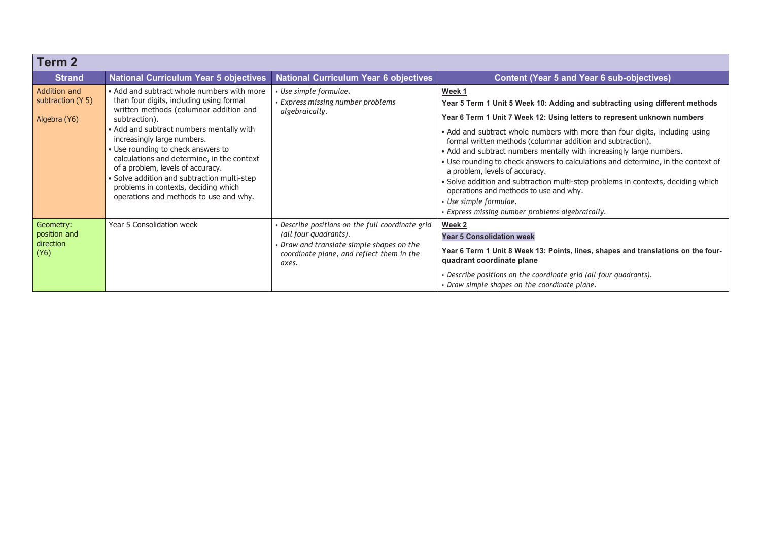| <b>Term 2</b>                                     |                                                                                                                                                                                                                                                                                                                                                                                                                                                                                        |                                                                                                                                                                          |                                                                                                                                                                                                                                                                                                                                                                                                                                                                                                                                                                                                                                                                                                                         |  |
|---------------------------------------------------|----------------------------------------------------------------------------------------------------------------------------------------------------------------------------------------------------------------------------------------------------------------------------------------------------------------------------------------------------------------------------------------------------------------------------------------------------------------------------------------|--------------------------------------------------------------------------------------------------------------------------------------------------------------------------|-------------------------------------------------------------------------------------------------------------------------------------------------------------------------------------------------------------------------------------------------------------------------------------------------------------------------------------------------------------------------------------------------------------------------------------------------------------------------------------------------------------------------------------------------------------------------------------------------------------------------------------------------------------------------------------------------------------------------|--|
| <b>Strand</b>                                     | <b>National Curriculum Year 5 objectives</b>                                                                                                                                                                                                                                                                                                                                                                                                                                           | <b>National Curriculum Year 6 objectives</b>                                                                                                                             | <b>Content (Year 5 and Year 6 sub-objectives)</b>                                                                                                                                                                                                                                                                                                                                                                                                                                                                                                                                                                                                                                                                       |  |
| Addition and<br>subtraction (Y 5)<br>Algebra (Y6) | • Add and subtract whole numbers with more<br>than four digits, including using formal<br>written methods (columnar addition and<br>subtraction).<br>• Add and subtract numbers mentally with<br>increasingly large numbers.<br>• Use rounding to check answers to<br>calculations and determine, in the context<br>of a problem, levels of accuracy.<br>• Solve addition and subtraction multi-step<br>problems in contexts, deciding which<br>operations and methods to use and why. | Use simple formulae.<br>Express missing number problems<br>algebraically.                                                                                                | Week 1<br>Year 5 Term 1 Unit 5 Week 10: Adding and subtracting using different methods<br>Year 6 Term 1 Unit 7 Week 12: Using letters to represent unknown numbers<br>• Add and subtract whole numbers with more than four digits, including using<br>formal written methods (columnar addition and subtraction).<br>• Add and subtract numbers mentally with increasingly large numbers.<br>• Use rounding to check answers to calculations and determine, in the context of<br>a problem, levels of accuracy.<br>. Solve addition and subtraction multi-step problems in contexts, deciding which<br>operations and methods to use and why.<br>Use simple formulae.<br>Express missing number problems algebraically. |  |
| Geometry:<br>position and<br>direction<br>(Y6)    | Year 5 Consolidation week                                                                                                                                                                                                                                                                                                                                                                                                                                                              | Describe positions on the full coordinate grid<br>(all four quadrants).<br>Draw and translate simple shapes on the<br>coordinate plane, and reflect them in the<br>axes. | Week 2<br><b>Year 5 Consolidation week</b><br>Year 6 Term 1 Unit 8 Week 13: Points, lines, shapes and translations on the four-<br>quadrant coordinate plane<br>Describe positions on the coordinate grid (all four quadrants).<br>Draw simple shapes on the coordinate plane.                                                                                                                                                                                                                                                                                                                                                                                                                                          |  |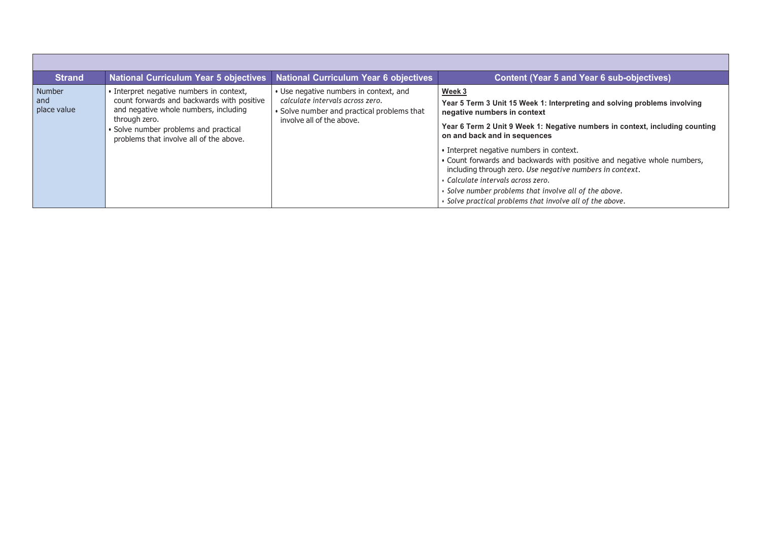| <b>Strand</b>                | <b>National Curriculum Year 5 objectives</b>                                                                                                                                                                                       | <b>National Curriculum Year 6 objectives</b>                                                                                                          | <b>Content (Year 5 and Year 6 sub-objectives)</b>                                                                                                                                                                                                                                                                                                                                                                                                                                                                                                                                   |
|------------------------------|------------------------------------------------------------------------------------------------------------------------------------------------------------------------------------------------------------------------------------|-------------------------------------------------------------------------------------------------------------------------------------------------------|-------------------------------------------------------------------------------------------------------------------------------------------------------------------------------------------------------------------------------------------------------------------------------------------------------------------------------------------------------------------------------------------------------------------------------------------------------------------------------------------------------------------------------------------------------------------------------------|
| Number<br>and<br>place value | • Interpret negative numbers in context,<br>count forwards and backwards with positive<br>and negative whole numbers, including<br>through zero.<br>Solve number problems and practical<br>problems that involve all of the above. | • Use negative numbers in context, and<br>calculate intervals across zero.<br>• Solve number and practical problems that<br>involve all of the above. | Week 3<br>Year 5 Term 3 Unit 15 Week 1: Interpreting and solving problems involving<br>negative numbers in context<br>Year 6 Term 2 Unit 9 Week 1: Negative numbers in context, including counting<br>on and back and in sequences<br>• Interpret negative numbers in context.<br>. Count forwards and backwards with positive and negative whole numbers,<br>including through zero. Use negative numbers in context.<br>• Calculate intervals across zero.<br>• Solve number problems that involve all of the above.<br>. Solve practical problems that involve all of the above. |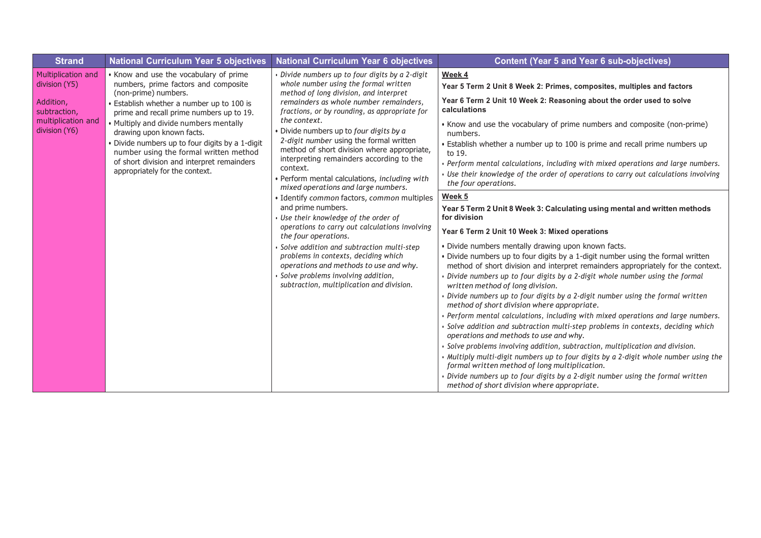| <b>Strand</b>                                                                                           | <b>National Curriculum Year 5 objectives</b>                                                                                                                                                                                                                                                                                                                                                                                                        | <b>National Curriculum Year 6 objectives</b>                                                                                                                                                                                                                                                                                                                                                                                                                                                                                                                                                                                                                                                                                                                                                                                                                                                                                             | <b>Content (Year 5 and Year 6 sub-objectives)</b>                                                                                                                                                                                                                                                                                                                                                                                                                                                                                                                                                                                                                                                                                                                                                                                                                                                                                                                                                                                                                                                                                                                                                            |
|---------------------------------------------------------------------------------------------------------|-----------------------------------------------------------------------------------------------------------------------------------------------------------------------------------------------------------------------------------------------------------------------------------------------------------------------------------------------------------------------------------------------------------------------------------------------------|------------------------------------------------------------------------------------------------------------------------------------------------------------------------------------------------------------------------------------------------------------------------------------------------------------------------------------------------------------------------------------------------------------------------------------------------------------------------------------------------------------------------------------------------------------------------------------------------------------------------------------------------------------------------------------------------------------------------------------------------------------------------------------------------------------------------------------------------------------------------------------------------------------------------------------------|--------------------------------------------------------------------------------------------------------------------------------------------------------------------------------------------------------------------------------------------------------------------------------------------------------------------------------------------------------------------------------------------------------------------------------------------------------------------------------------------------------------------------------------------------------------------------------------------------------------------------------------------------------------------------------------------------------------------------------------------------------------------------------------------------------------------------------------------------------------------------------------------------------------------------------------------------------------------------------------------------------------------------------------------------------------------------------------------------------------------------------------------------------------------------------------------------------------|
| Multiplication and<br>division (Y5)<br>Addition,<br>subtraction,<br>multiplication and<br>division (Y6) | • Know and use the vocabulary of prime<br>numbers, prime factors and composite<br>(non-prime) numbers.<br>• Establish whether a number up to 100 is<br>prime and recall prime numbers up to 19.<br>• Multiply and divide numbers mentally<br>drawing upon known facts.<br>• Divide numbers up to four digits by a 1-digit<br>number using the formal written method<br>of short division and interpret remainders<br>appropriately for the context. | Divide numbers up to four digits by a 2-digit<br>whole number using the formal written<br>method of long division, and interpret<br>remainders as whole number remainders,<br>fractions, or by rounding, as appropriate for<br>the context.<br>· Divide numbers up to four digits by a<br>2-digit number using the formal written<br>method of short division where appropriate,<br>interpreting remainders according to the<br>context.<br>· Perform mental calculations, including with<br>mixed operations and large numbers.<br>· Identify common factors, common multiples<br>and prime numbers.<br>Use their knowledge of the order of<br>operations to carry out calculations involving<br>the four operations.<br>Solve addition and subtraction multi-step<br>problems in contexts, deciding which<br>operations and methods to use and why.<br>Solve problems involving addition,<br>subtraction, multiplication and division. | Week 4<br>Year 5 Term 2 Unit 8 Week 2: Primes, composites, multiples and factors<br>Year 6 Term 2 Unit 10 Week 2: Reasoning about the order used to solve<br>calculations<br>• Know and use the vocabulary of prime numbers and composite (non-prime)<br>numbers.<br>• Establish whether a number up to 100 is prime and recall prime numbers up<br>to 19.<br>Perform mental calculations, including with mixed operations and large numbers.<br>$\cdot$ Use their knowledge of the order of operations to carry out calculations involving<br>the four operations.                                                                                                                                                                                                                                                                                                                                                                                                                                                                                                                                                                                                                                          |
|                                                                                                         |                                                                                                                                                                                                                                                                                                                                                                                                                                                     |                                                                                                                                                                                                                                                                                                                                                                                                                                                                                                                                                                                                                                                                                                                                                                                                                                                                                                                                          | Week 5<br>Year 5 Term 2 Unit 8 Week 3: Calculating using mental and written methods<br>for division<br>Year 6 Term 2 Unit 10 Week 3: Mixed operations<br>. Divide numbers mentally drawing upon known facts.<br>. Divide numbers up to four digits by a 1-digit number using the formal written<br>method of short division and interpret remainders appropriately for the context.<br>Divide numbers up to four digits by a 2-digit whole number using the formal<br>written method of long division.<br>Divide numbers up to four digits by a 2-digit number using the formal written<br>method of short division where appropriate.<br>Perform mental calculations, including with mixed operations and large numbers.<br>Solve addition and subtraction multi-step problems in contexts, deciding which<br>operations and methods to use and why.<br>Solve problems involving addition, subtraction, multiplication and division.<br>Multiply multi-digit numbers up to four digits by a 2-digit whole number using the<br>formal written method of long multiplication.<br>Divide numbers up to four digits by a 2-digit number using the formal written<br>method of short division where appropriate. |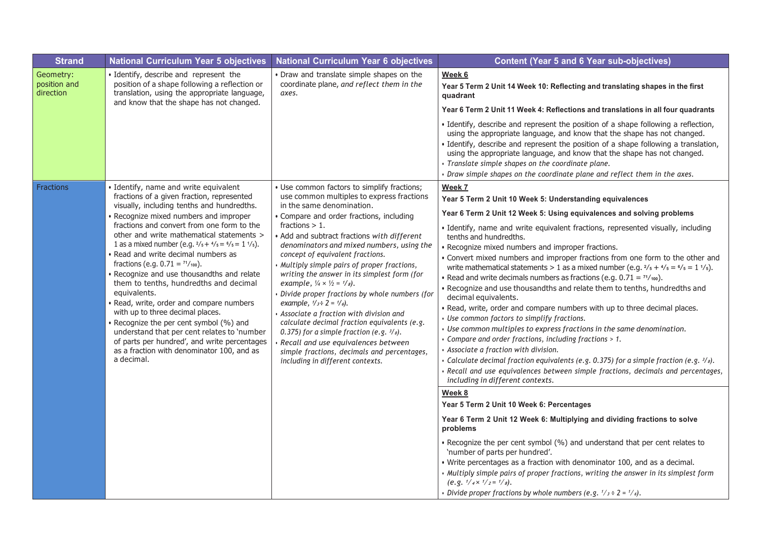| <b>Strand</b>                          | <b>National Curriculum Year 5 objectives</b>                                                                                                                                                                                                                                                                                                                                                                                                                                                                                                                                                                                                                                                                                                                                                                                            | <b>National Curriculum Year 6 objectives</b>                                                                                                                                                                                                                                                                                                                                                                                                                                                                                                                                                                                                                                                                                                                                                                                                    | <b>Content (Year 5 and 6 Year sub-objectives)</b>                                                                                                                                                                                                                                                                                                                                                                                                                                                                                                                                                                                                                                                                                                                                                                                                                                                                                                                                                                                                                                                                                                                                                                                                                                                                                                                                                                                                                                                                                                                                                                                                                                                                                                                                                                               |
|----------------------------------------|-----------------------------------------------------------------------------------------------------------------------------------------------------------------------------------------------------------------------------------------------------------------------------------------------------------------------------------------------------------------------------------------------------------------------------------------------------------------------------------------------------------------------------------------------------------------------------------------------------------------------------------------------------------------------------------------------------------------------------------------------------------------------------------------------------------------------------------------|-------------------------------------------------------------------------------------------------------------------------------------------------------------------------------------------------------------------------------------------------------------------------------------------------------------------------------------------------------------------------------------------------------------------------------------------------------------------------------------------------------------------------------------------------------------------------------------------------------------------------------------------------------------------------------------------------------------------------------------------------------------------------------------------------------------------------------------------------|---------------------------------------------------------------------------------------------------------------------------------------------------------------------------------------------------------------------------------------------------------------------------------------------------------------------------------------------------------------------------------------------------------------------------------------------------------------------------------------------------------------------------------------------------------------------------------------------------------------------------------------------------------------------------------------------------------------------------------------------------------------------------------------------------------------------------------------------------------------------------------------------------------------------------------------------------------------------------------------------------------------------------------------------------------------------------------------------------------------------------------------------------------------------------------------------------------------------------------------------------------------------------------------------------------------------------------------------------------------------------------------------------------------------------------------------------------------------------------------------------------------------------------------------------------------------------------------------------------------------------------------------------------------------------------------------------------------------------------------------------------------------------------------------------------------------------------|
| Geometry:<br>position and<br>direction | · Identify, describe and represent the<br>position of a shape following a reflection or<br>translation, using the appropriate language,<br>and know that the shape has not changed.                                                                                                                                                                                                                                                                                                                                                                                                                                                                                                                                                                                                                                                     | . Draw and translate simple shapes on the<br>coordinate plane, and reflect them in the<br>axes.                                                                                                                                                                                                                                                                                                                                                                                                                                                                                                                                                                                                                                                                                                                                                 | Week 6<br>Year 5 Term 2 Unit 14 Week 10: Reflecting and translating shapes in the first<br>quadrant<br>Year 6 Term 2 Unit 11 Week 4: Reflections and translations in all four quadrants<br>· Identify, describe and represent the position of a shape following a reflection,<br>using the appropriate language, and know that the shape has not changed.<br>Identify, describe and represent the position of a shape following a translation,<br>using the appropriate language, and know that the shape has not changed.<br>· Translate simple shapes on the coordinate plane.<br>• Draw simple shapes on the coordinate plane and reflect them in the axes.                                                                                                                                                                                                                                                                                                                                                                                                                                                                                                                                                                                                                                                                                                                                                                                                                                                                                                                                                                                                                                                                                                                                                                  |
| <b>Fractions</b>                       | Identify, name and write equivalent<br>fractions of a given fraction, represented<br>visually, including tenths and hundredths.<br>Recognize mixed numbers and improper<br>fractions and convert from one form to the<br>other and write mathematical statements ><br>1 as a mixed number (e.g. $\frac{2}{5} + \frac{4}{5} = \frac{6}{5} = 1 \frac{1}{5}$ ).<br>Read and write decimal numbers as<br>fractions (e.g. $0.71 = \frac{71}{100}$ ).<br>Recognize and use thousandths and relate<br>them to tenths, hundredths and decimal<br>equivalents.<br>Read, write, order and compare numbers<br>with up to three decimal places.<br>Recognize the per cent symbol (%) and<br>understand that per cent relates to 'number<br>of parts per hundred', and write percentages<br>as a fraction with denominator 100, and as<br>a decimal. | · Use common factors to simplify fractions;<br>use common multiples to express fractions<br>in the same denomination.<br>• Compare and order fractions, including<br>fractions $> 1$ .<br>• Add and subtract fractions with different<br>denominators and mixed numbers, using the<br>concept of equivalent fractions.<br>Multiply simple pairs of proper fractions,<br>writing the answer in its simplest form (for<br>example, $\frac{1}{4} \times \frac{1}{2} = \frac{1}{8}$ .<br>Divide proper fractions by whole numbers (for<br>example, $1/s \div 2 = 1/s$ ).<br>Associate a fraction with division and<br>calculate decimal fraction equivalents (e.g.<br>0.375) for a simple fraction (e.g. $\frac{3}{s}$ ).<br>Recall and use equivalences between<br>simple fractions, decimals and percentages,<br>including in different contexts. | Week 7<br>Year 5 Term 2 Unit 10 Week 5: Understanding equivalences<br>Year 6 Term 2 Unit 12 Week 5: Using equivalences and solving problems<br>· Identify, name and write equivalent fractions, represented visually, including<br>tenths and hundredths.<br>Recognize mixed numbers and improper fractions.<br>• Convert mixed numbers and improper fractions from one form to the other and<br>write mathematical statements > 1 as a mixed number (e.g. $\frac{2}{5} + \frac{4}{5} = \frac{6}{5} = 1 \frac{1}{5}$ ).<br>• Read and write decimals numbers as fractions (e.g. $0.71 = \frac{71}{100}$ ).<br>. Recognize and use thousandths and relate them to tenths, hundredths and<br>decimal equivalents.<br>. Read, write, order and compare numbers with up to three decimal places.<br>• Use common factors to simplify fractions.<br>· Use common multiples to express fractions in the same denomination.<br>• Compare and order fractions, including fractions > 1.<br>· Associate a fraction with division.<br>• Calculate decimal fraction equivalents (e.g. 0.375) for a simple fraction (e.g. $\frac{3}{s}$ ).<br>Recall and use equivalences between simple fractions, decimals and percentages,<br>including in different contexts.<br>Week 8<br>Year 5 Term 2 Unit 10 Week 6: Percentages<br>Year 6 Term 2 Unit 12 Week 6: Multiplying and dividing fractions to solve<br>problems<br>• Recognize the per cent symbol (%) and understand that per cent relates to<br>'number of parts per hundred'.<br>. Write percentages as a fraction with denominator 100, and as a decimal.<br>. Multiply simple pairs of proper fractions, writing the answer in its simplest form<br>$(e.g. \frac{1}{4} \times \frac{1}{2} = \frac{1}{8}).$<br>• Divide proper fractions by whole numbers (e.g. $1/s \div 2 = 1/s$ ). |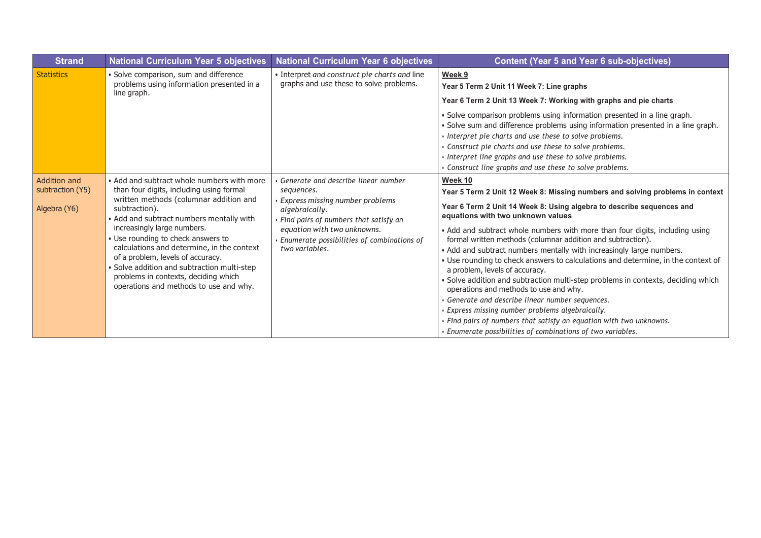| <b>Strand</b>                                    | <b>National Curriculum Year 5 objectives</b>                                                                                                                                                                                                                                                                                                                                                                                                                                           | <b>National Curriculum Year 6 objectives</b>                                                                                                                                                                                                     | <b>Content (Year 5 and Year 6 sub-objectives)</b>                                                                                                                                                                                                                                                                                                                                                                                                                                                                                                                                                                                                                                                                                                                                                                                                                                                                             |
|--------------------------------------------------|----------------------------------------------------------------------------------------------------------------------------------------------------------------------------------------------------------------------------------------------------------------------------------------------------------------------------------------------------------------------------------------------------------------------------------------------------------------------------------------|--------------------------------------------------------------------------------------------------------------------------------------------------------------------------------------------------------------------------------------------------|-------------------------------------------------------------------------------------------------------------------------------------------------------------------------------------------------------------------------------------------------------------------------------------------------------------------------------------------------------------------------------------------------------------------------------------------------------------------------------------------------------------------------------------------------------------------------------------------------------------------------------------------------------------------------------------------------------------------------------------------------------------------------------------------------------------------------------------------------------------------------------------------------------------------------------|
| <b>Statistics</b>                                | · Solve comparison, sum and difference<br>problems using information presented in a<br>line graph.                                                                                                                                                                                                                                                                                                                                                                                     | • Interpret and construct pie charts and line<br>graphs and use these to solve problems.                                                                                                                                                         | Week 9<br>Year 5 Term 2 Unit 11 Week 7: Line graphs<br>Year 6 Term 2 Unit 13 Week 7: Working with graphs and pie charts<br>· Solve comparison problems using information presented in a line graph.<br>· Solve sum and difference problems using information presented in a line graph.<br>· Interpret pie charts and use these to solve problems.<br>Construct pie charts and use these to solve problems.<br>· Interpret line graphs and use these to solve problems.<br>Construct line graphs and use these to solve problems.                                                                                                                                                                                                                                                                                                                                                                                             |
| Addition and<br>subtraction (Y5)<br>Algebra (Y6) | • Add and subtract whole numbers with more<br>than four digits, including using formal<br>written methods (columnar addition and<br>subtraction).<br>• Add and subtract numbers mentally with<br>increasingly large numbers.<br>• Use rounding to check answers to<br>calculations and determine, in the context<br>of a problem, levels of accuracy.<br>• Solve addition and subtraction multi-step<br>problems in contexts, deciding which<br>operations and methods to use and why. | Generate and describe linear number<br>sequences.<br>Express missing number problems<br>algebraically.<br>• Find pairs of numbers that satisfy an<br>equation with two unknowns.<br>Enumerate possibilities of combinations of<br>two variables. | Week 10<br>Year 5 Term 2 Unit 12 Week 8: Missing numbers and solving problems in context<br>Year 6 Term 2 Unit 14 Week 8: Using algebra to describe sequences and<br>equations with two unknown values<br>• Add and subtract whole numbers with more than four digits, including using<br>formal written methods (columnar addition and subtraction).<br>• Add and subtract numbers mentally with increasingly large numbers.<br>. Use rounding to check answers to calculations and determine, in the context of<br>a problem, levels of accuracy.<br>· Solve addition and subtraction multi-step problems in contexts, deciding which<br>operations and methods to use and why.<br>Generate and describe linear number sequences.<br>· Express missing number problems algebraically.<br>• Find pairs of numbers that satisfy an equation with two unknowns.<br>• Enumerate possibilities of combinations of two variables. |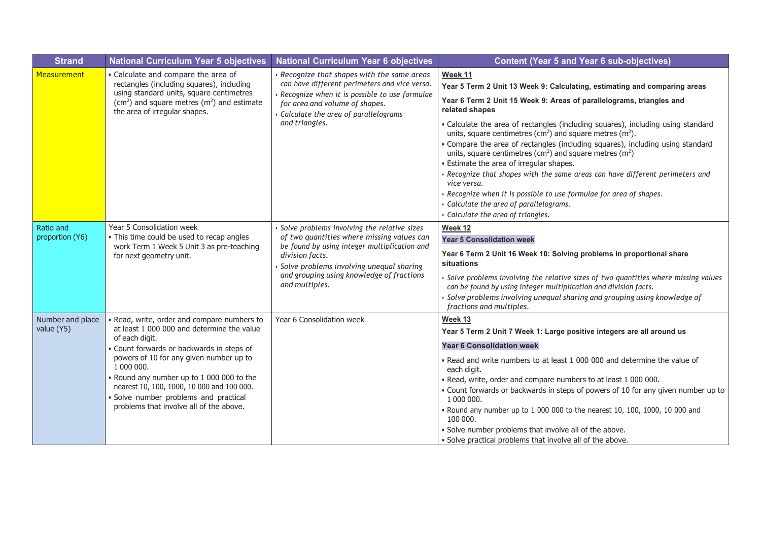| <b>Strand</b>                  | <b>National Curriculum Year 5 objectives</b>                                                                                                                                                                                                                                                                                                                                               | <b>National Curriculum Year 6 objectives</b>                                                                                                                                                                                                                            | <b>Content (Year 5 and Year 6 sub-objectives)</b>                                                                                                                                                                                                                                                                                                                                                                                                                                                                                                                                                                                                                                                                                                                                           |
|--------------------------------|--------------------------------------------------------------------------------------------------------------------------------------------------------------------------------------------------------------------------------------------------------------------------------------------------------------------------------------------------------------------------------------------|-------------------------------------------------------------------------------------------------------------------------------------------------------------------------------------------------------------------------------------------------------------------------|---------------------------------------------------------------------------------------------------------------------------------------------------------------------------------------------------------------------------------------------------------------------------------------------------------------------------------------------------------------------------------------------------------------------------------------------------------------------------------------------------------------------------------------------------------------------------------------------------------------------------------------------------------------------------------------------------------------------------------------------------------------------------------------------|
| Measurement                    | • Calculate and compare the area of<br>rectangles (including squares), including<br>using standard units, square centimetres<br>$(cm2)$ and square metres $(m2)$ and estimate<br>the area of irregular shapes.                                                                                                                                                                             | Recognize that shapes with the same areas<br>can have different perimeters and vice versa.<br>Recognize when it is possible to use formulae<br>for area and volume of shapes.<br>· Calculate the area of parallelograms<br>and triangles.                               | Week 11<br>Year 5 Term 2 Unit 13 Week 9: Calculating, estimating and comparing areas<br>Year 6 Term 2 Unit 15 Week 9: Areas of parallelograms, triangles and<br>related shapes<br>• Calculate the area of rectangles (including squares), including using standard<br>units, square centimetres ( $cm2$ ) and square metres ( $m2$ ).<br>• Compare the area of rectangles (including squares), including using standard<br>units, square centimetres ( $cm2$ ) and square metres ( $m2$ )<br>• Estimate the area of irregular shapes.<br>Recognize that shapes with the same areas can have different perimeters and<br>vice versa.<br>· Recognize when it is possible to use formulae for area of shapes.<br>· Calculate the area of parallelograms.<br>· Calculate the area of triangles. |
| Ratio and<br>proportion (Y6)   | Year 5 Consolidation week<br>• This time could be used to recap angles<br>work Term 1 Week 5 Unit 3 as pre-teaching<br>for next geometry unit.                                                                                                                                                                                                                                             | Solve problems involving the relative sizes<br>of two quantities where missing values can<br>be found by using integer multiplication and<br>division facts.<br>Solve problems involving unequal sharing<br>and grouping using knowledge of fractions<br>and multiples. | Week 12<br><b>Year 5 Consolidation week</b><br>Year 6 Term 2 Unit 16 Week 10: Solving problems in proportional share<br>situations<br>Solve problems involving the relative sizes of two quantities where missing values<br>can be found by using integer multiplication and division facts.<br>Solve problems involving unequal sharing and grouping using knowledge of<br>fractions and multiples.                                                                                                                                                                                                                                                                                                                                                                                        |
| Number and place<br>value (Y5) | Read, write, order and compare numbers to<br>at least 1 000 000 and determine the value<br>of each digit.<br>Count forwards or backwards in steps of<br>powers of 10 for any given number up to<br>1 000 000.<br>Round any number up to 1 000 000 to the<br>nearest 10, 100, 1000, 10 000 and 100 000.<br>· Solve number problems and practical<br>problems that involve all of the above. | Year 6 Consolidation week                                                                                                                                                                                                                                               | Week 13<br>Year 5 Term 2 Unit 7 Week 1: Large positive integers are all around us<br><b>Year 6 Consolidation week</b><br>. Read and write numbers to at least 1 000 000 and determine the value of<br>each digit.<br>. Read, write, order and compare numbers to at least 1 000 000.<br>• Count forwards or backwards in steps of powers of 10 for any given number up to<br>1 000 000.<br>. Round any number up to 1 000 000 to the nearest 10, 100, 1000, 10 000 and<br>100 000.<br>· Solve number problems that involve all of the above.<br>. Solve practical problems that involve all of the above.                                                                                                                                                                                   |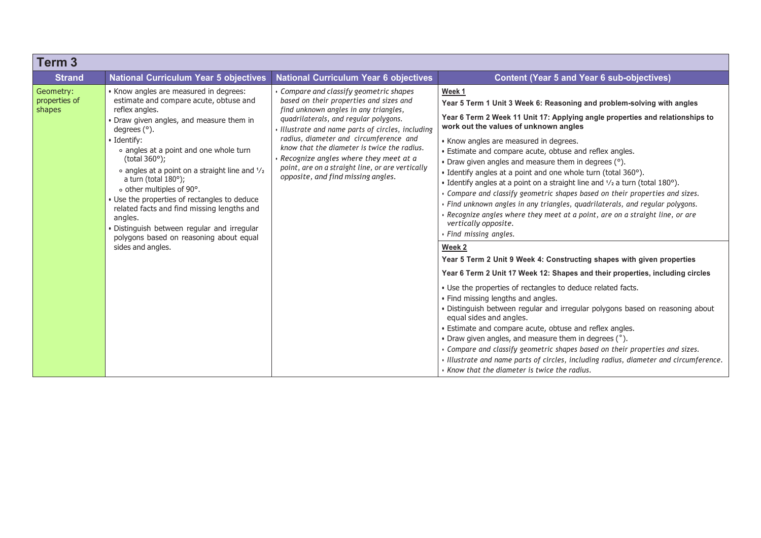| Term <sub>3</sub>                    |                                                                                                                                                                                                                                                                                                                                                                                                                                                                                                                                                                                                      |                                                                                                                                                                                                                                                                                                                                                                                                                                                   |                                                                                                                                                                                                                                                                                                                                                                                                                                                                                                                                                                                                                                                                                                                                                                                                                                                                                                                                                                                                                                                                                                                                                                                                                                                                                                                                                                                                                                                                                                                                                                  |
|--------------------------------------|------------------------------------------------------------------------------------------------------------------------------------------------------------------------------------------------------------------------------------------------------------------------------------------------------------------------------------------------------------------------------------------------------------------------------------------------------------------------------------------------------------------------------------------------------------------------------------------------------|---------------------------------------------------------------------------------------------------------------------------------------------------------------------------------------------------------------------------------------------------------------------------------------------------------------------------------------------------------------------------------------------------------------------------------------------------|------------------------------------------------------------------------------------------------------------------------------------------------------------------------------------------------------------------------------------------------------------------------------------------------------------------------------------------------------------------------------------------------------------------------------------------------------------------------------------------------------------------------------------------------------------------------------------------------------------------------------------------------------------------------------------------------------------------------------------------------------------------------------------------------------------------------------------------------------------------------------------------------------------------------------------------------------------------------------------------------------------------------------------------------------------------------------------------------------------------------------------------------------------------------------------------------------------------------------------------------------------------------------------------------------------------------------------------------------------------------------------------------------------------------------------------------------------------------------------------------------------------------------------------------------------------|
| <b>Strand</b>                        | <b>National Curriculum Year 5 objectives</b>                                                                                                                                                                                                                                                                                                                                                                                                                                                                                                                                                         | <b>National Curriculum Year 6 objectives</b>                                                                                                                                                                                                                                                                                                                                                                                                      | <b>Content (Year 5 and Year 6 sub-objectives)</b>                                                                                                                                                                                                                                                                                                                                                                                                                                                                                                                                                                                                                                                                                                                                                                                                                                                                                                                                                                                                                                                                                                                                                                                                                                                                                                                                                                                                                                                                                                                |
| Geometry:<br>properties of<br>shapes | • Know angles are measured in degrees:<br>estimate and compare acute, obtuse and<br>reflex angles.<br>• Draw given angles, and measure them in<br>degrees $(°)$ .<br>· Identify:<br>• angles at a point and one whole turn<br>(total $360^\circ$ );<br>• angles at a point on a straight line and $\frac{1}{2}$<br>a turn (total $180^\circ$ );<br>o other multiples of 90°.<br>• Use the properties of rectangles to deduce<br>related facts and find missing lengths and<br>angles.<br>· Distinguish between regular and irregular<br>polygons based on reasoning about equal<br>sides and angles. | Compare and classify geometric shapes<br>based on their properties and sizes and<br>find unknown angles in any triangles,<br>quadrilaterals, and regular polygons.<br>Illustrate and name parts of circles, including<br>radius, diameter and circumference and<br>know that the diameter is twice the radius.<br>Recognize angles where they meet at a<br>point, are on a straight line, or are vertically<br>opposite, and find missing angles. | Week 1<br>Year 5 Term 1 Unit 3 Week 6: Reasoning and problem-solving with angles<br>Year 6 Term 2 Week 11 Unit 17: Applying angle properties and relationships to<br>work out the values of unknown angles<br>• Know angles are measured in degrees.<br>• Estimate and compare acute, obtuse and reflex angles.<br>• Draw given angles and measure them in degrees (°).<br>• Identify angles at a point and one whole turn (total 360°).<br>• Identify angles at a point on a straight line and 1/2 a turn (total 180°).<br>• Compare and classify geometric shapes based on their properties and sizes.<br>· Find unknown angles in any triangles, quadrilaterals, and regular polygons.<br>• Recognize angles where they meet at a point, are on a straight line, or are<br>vertically opposite.<br>· Find missing angles.<br>Week 2<br>Year 5 Term 2 Unit 9 Week 4: Constructing shapes with given properties<br>Year 6 Term 2 Unit 17 Week 12: Shapes and their properties, including circles<br>• Use the properties of rectangles to deduce related facts.<br>• Find missing lengths and angles.<br>. Distinguish between regular and irregular polygons based on reasoning about<br>equal sides and angles.<br>• Estimate and compare acute, obtuse and reflex angles.<br>• Draw given angles, and measure them in degrees (°).<br>• Compare and classify geometric shapes based on their properties and sizes.<br>· Illustrate and name parts of circles, including radius, diameter and circumference.<br>• Know that the diameter is twice the radius. |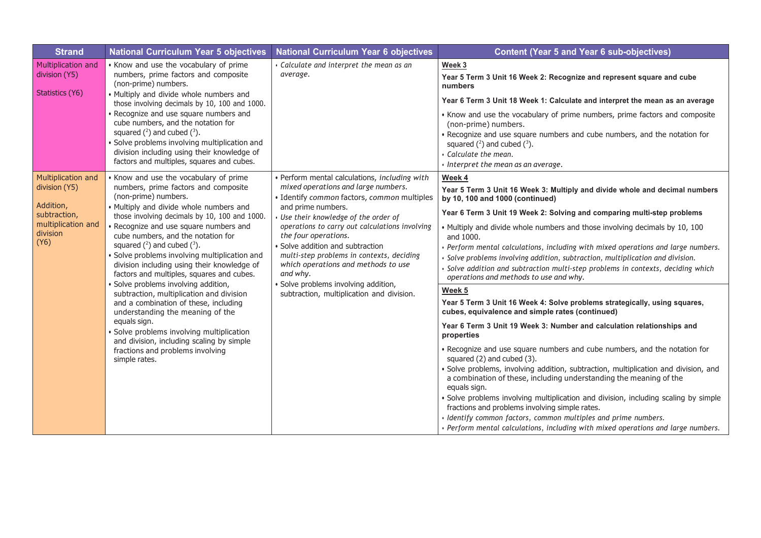| <b>Strand</b>                                                                                              | <b>National Curriculum Year 5 objectives</b>                                                                                                                                                                                                                                                                                                                                                                                                                     | <b>National Curriculum Year 6 objectives</b>                                                                                                                                                                                                                                                                                                                                                                                                                                                    | <b>Content (Year 5 and Year 6 sub-objectives)</b>                                                                                                                                                                                                                                                                                                                                                                                                                                                                                                                                                                                                                                                                                                                                                                     |
|------------------------------------------------------------------------------------------------------------|------------------------------------------------------------------------------------------------------------------------------------------------------------------------------------------------------------------------------------------------------------------------------------------------------------------------------------------------------------------------------------------------------------------------------------------------------------------|-------------------------------------------------------------------------------------------------------------------------------------------------------------------------------------------------------------------------------------------------------------------------------------------------------------------------------------------------------------------------------------------------------------------------------------------------------------------------------------------------|-----------------------------------------------------------------------------------------------------------------------------------------------------------------------------------------------------------------------------------------------------------------------------------------------------------------------------------------------------------------------------------------------------------------------------------------------------------------------------------------------------------------------------------------------------------------------------------------------------------------------------------------------------------------------------------------------------------------------------------------------------------------------------------------------------------------------|
| Multiplication and<br>division (Y5)<br>Statistics (Y6)                                                     | • Know and use the vocabulary of prime<br>numbers, prime factors and composite<br>(non-prime) numbers.<br>. Multiply and divide whole numbers and<br>those involving decimals by 10, 100 and 1000.<br>Recognize and use square numbers and<br>cube numbers, and the notation for<br>squared $(^2)$ and cubed $(^3)$ .<br>Solve problems involving multiplication and<br>division including using their knowledge of<br>factors and multiples, squares and cubes. | Calculate and interpret the mean as an<br>average.                                                                                                                                                                                                                                                                                                                                                                                                                                              | Week 3<br>Year 5 Term 3 Unit 16 Week 2: Recognize and represent square and cube<br>numbers<br>Year 6 Term 3 Unit 18 Week 1: Calculate and interpret the mean as an average<br>• Know and use the vocabulary of prime numbers, prime factors and composite<br>(non-prime) numbers.<br>. Recognize and use square numbers and cube numbers, and the notation for<br>squared $(^2)$ and cubed $(^3)$ .<br>· Calculate the mean.<br>· Interpret the mean as an average.                                                                                                                                                                                                                                                                                                                                                   |
| Multiplication and<br>division (Y5)<br>Addition,<br>subtraction,<br>multiplication and<br>division<br>(Y6) | • Know and use the vocabulary of prime<br>numbers, prime factors and composite<br>(non-prime) numbers.<br>· Multiply and divide whole numbers and<br>those involving decimals by 10, 100 and 1000.<br>Recognize and use square numbers and<br>cube numbers, and the notation for<br>squared $(2)$ and cubed $(3)$ .<br>· Solve problems involving multiplication and<br>division including using their knowledge of<br>factors and multiples, squares and cubes. | · Perform mental calculations, including with<br>mixed operations and large numbers.<br>· Identify common factors, common multiples<br>and prime numbers.<br>Use their knowledge of the order of<br>operations to carry out calculations involving<br>the four operations.<br>Solve addition and subtraction<br>multi-step problems in contexts, deciding<br>which operations and methods to use<br>and why.<br>Solve problems involving addition,<br>subtraction, multiplication and division. | Week 4<br>Year 5 Term 3 Unit 16 Week 3: Multiply and divide whole and decimal numbers<br>by 10, 100 and 1000 (continued)<br>Year 6 Term 3 Unit 19 Week 2: Solving and comparing multi-step problems<br>. Multiply and divide whole numbers and those involving decimals by 10, 100<br>and 1000.<br>· Perform mental calculations, including with mixed operations and large numbers.<br>· Solve problems involving addition, subtraction, multiplication and division.<br>Solve addition and subtraction multi-step problems in contexts, deciding which<br>operations and methods to use and why.                                                                                                                                                                                                                    |
|                                                                                                            | Solve problems involving addition,<br>subtraction, multiplication and division<br>and a combination of these, including<br>understanding the meaning of the<br>equals sign.<br>Solve problems involving multiplication<br>and division, including scaling by simple<br>fractions and problems involving<br>simple rates.                                                                                                                                         |                                                                                                                                                                                                                                                                                                                                                                                                                                                                                                 | Week 5<br>Year 5 Term 3 Unit 16 Week 4: Solve problems strategically, using squares,<br>cubes, equivalence and simple rates (continued)<br>Year 6 Term 3 Unit 19 Week 3: Number and calculation relationships and<br>properties<br>• Recognize and use square numbers and cube numbers, and the notation for<br>squared (2) and cubed (3).<br>· Solve problems, involving addition, subtraction, multiplication and division, and<br>a combination of these, including understanding the meaning of the<br>equals sign.<br>Solve problems involving multiplication and division, including scaling by simple<br>fractions and problems involving simple rates.<br>· Identify common factors, common multiples and prime numbers.<br>· Perform mental calculations, including with mixed operations and large numbers. |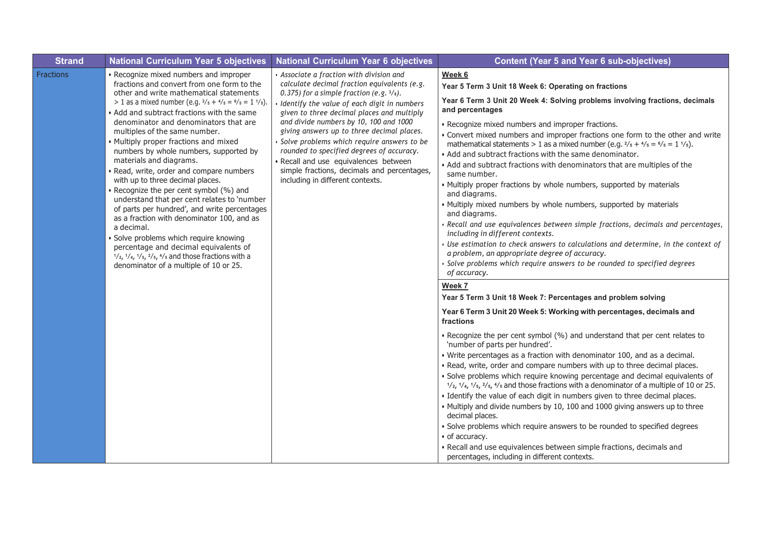| <b>Strand</b>    | <b>National Curriculum Year 5 objectives</b>                                                                                                                                                                                                                                                                                                                                                                                                                                                                                                                                                                                                                                                                                                                                                                                                                                                                                                                                                     | <b>National Curriculum Year 6 objectives</b>                                                                                                                                                                                                                                                                                                                                                                                                                                                                                                          | <b>Content (Year 5 and Year 6 sub-objectives)</b>                                                                                                                                                                                                                                                                                                                                                                                                                                                                                                                                                                                                                                                                                                                                                                                                                                                                                                                                                                                                                                                                                                                                                                                                                                                                                                                                                                                                                                                                                                                                                                                                                                                                                                                                                                                                                                                                                                                                                                                                                                                                                                                                                                        |
|------------------|--------------------------------------------------------------------------------------------------------------------------------------------------------------------------------------------------------------------------------------------------------------------------------------------------------------------------------------------------------------------------------------------------------------------------------------------------------------------------------------------------------------------------------------------------------------------------------------------------------------------------------------------------------------------------------------------------------------------------------------------------------------------------------------------------------------------------------------------------------------------------------------------------------------------------------------------------------------------------------------------------|-------------------------------------------------------------------------------------------------------------------------------------------------------------------------------------------------------------------------------------------------------------------------------------------------------------------------------------------------------------------------------------------------------------------------------------------------------------------------------------------------------------------------------------------------------|--------------------------------------------------------------------------------------------------------------------------------------------------------------------------------------------------------------------------------------------------------------------------------------------------------------------------------------------------------------------------------------------------------------------------------------------------------------------------------------------------------------------------------------------------------------------------------------------------------------------------------------------------------------------------------------------------------------------------------------------------------------------------------------------------------------------------------------------------------------------------------------------------------------------------------------------------------------------------------------------------------------------------------------------------------------------------------------------------------------------------------------------------------------------------------------------------------------------------------------------------------------------------------------------------------------------------------------------------------------------------------------------------------------------------------------------------------------------------------------------------------------------------------------------------------------------------------------------------------------------------------------------------------------------------------------------------------------------------------------------------------------------------------------------------------------------------------------------------------------------------------------------------------------------------------------------------------------------------------------------------------------------------------------------------------------------------------------------------------------------------------------------------------------------------------------------------------------------------|
| <b>Fractions</b> | • Recognize mixed numbers and improper<br>fractions and convert from one form to the<br>other and write mathematical statements<br>> 1 as a mixed number (e.g. $\frac{2}{5} + \frac{4}{5} = \frac{6}{5} = 1 \frac{1}{5}$ ).<br>• Add and subtract fractions with the same<br>denominator and denominators that are<br>multiples of the same number.<br>• Multiply proper fractions and mixed<br>numbers by whole numbers, supported by<br>materials and diagrams.<br>· Read, write, order and compare numbers<br>with up to three decimal places.<br>· Recognize the per cent symbol (%) and<br>understand that per cent relates to 'number<br>of parts per hundred', and write percentages<br>as a fraction with denominator 100, and as<br>a decimal.<br>· Solve problems which require knowing<br>percentage and decimal equivalents of<br>$\frac{1}{2}$ , $\frac{1}{4}$ , $\frac{1}{5}$ , $\frac{2}{5}$ , $\frac{4}{5}$ and those fractions with a<br>denominator of a multiple of 10 or 25. | · Associate a fraction with division and<br>calculate decimal fraction equivalents (e.g.<br>0.375) for a simple fraction (e.g. $3/s$ ).<br>· Identify the value of each digit in numbers<br>given to three decimal places and multiply<br>and divide numbers by 10, 100 and 1000<br>giving answers up to three decimal places.<br>Solve problems which require answers to be<br>rounded to specified degrees of accuracy.<br>· Recall and use equivalences between<br>simple fractions, decimals and percentages,<br>including in different contexts. | Week 6<br>Year 5 Term 3 Unit 18 Week 6: Operating on fractions<br>Year 6 Term 3 Unit 20 Week 4: Solving problems involving fractions, decimals<br>and percentages<br>· Recognize mixed numbers and improper fractions.<br>• Convert mixed numbers and improper fractions one form to the other and write<br>mathematical statements > 1 as a mixed number (e.g. $\frac{2}{5} + \frac{4}{5} = \frac{6}{5} = 1 \frac{1}{5}$ ).<br>. Add and subtract fractions with the same denominator.<br>• Add and subtract fractions with denominators that are multiples of the<br>same number.<br>• Multiply proper fractions by whole numbers, supported by materials<br>and diagrams.<br>. Multiply mixed numbers by whole numbers, supported by materials<br>and diagrams.<br>· Recall and use equivalences between simple fractions, decimals and percentages,<br>including in different contexts.<br>Use estimation to check answers to calculations and determine, in the context of<br>a problem, an appropriate degree of accuracy.<br>· Solve problems which require answers to be rounded to specified degrees<br>of accuracy.<br>Week 7<br>Year 5 Term 3 Unit 18 Week 7: Percentages and problem solving<br>Year 6 Term 3 Unit 20 Week 5: Working with percentages, decimals and<br>fractions<br>. Recognize the per cent symbol (%) and understand that per cent relates to<br>'number of parts per hundred'.<br>• Write percentages as a fraction with denominator 100, and as a decimal.<br>. Read, write, order and compare numbers with up to three decimal places.<br>· Solve problems which require knowing percentage and decimal equivalents of<br>$\frac{1}{2}$ , $\frac{1}{4}$ , $\frac{1}{5}$ , $\frac{2}{5}$ , $\frac{4}{5}$ , and those fractions with a denominator of a multiple of 10 or 25.<br>• Identify the value of each digit in numbers given to three decimal places.<br>. Multiply and divide numbers by 10, 100 and 1000 giving answers up to three<br>decimal places.<br>• Solve problems which require answers to be rounded to specified degrees<br>• of accuracy.<br>· Recall and use equivalences between simple fractions, decimals and<br>percentages, including in different contexts. |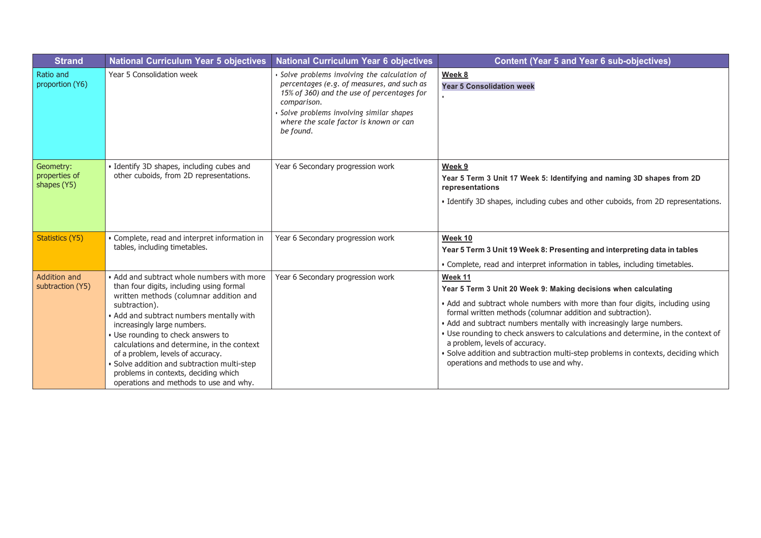| <b>Strand</b>                             | <b>National Curriculum Year 5 objectives</b>                                                                                                                                                                                                                                                                                                                                                                                                                                           | <b>National Curriculum Year 6 objectives</b>                                                                                                                                                                                                               | <b>Content (Year 5 and Year 6 sub-objectives)</b>                                                                                                                                                                                                                                                                                                                                                                                                                                                                                                     |
|-------------------------------------------|----------------------------------------------------------------------------------------------------------------------------------------------------------------------------------------------------------------------------------------------------------------------------------------------------------------------------------------------------------------------------------------------------------------------------------------------------------------------------------------|------------------------------------------------------------------------------------------------------------------------------------------------------------------------------------------------------------------------------------------------------------|-------------------------------------------------------------------------------------------------------------------------------------------------------------------------------------------------------------------------------------------------------------------------------------------------------------------------------------------------------------------------------------------------------------------------------------------------------------------------------------------------------------------------------------------------------|
| Ratio and<br>proportion (Y6)              | Year 5 Consolidation week                                                                                                                                                                                                                                                                                                                                                                                                                                                              | · Solve problems involving the calculation of<br>percentages (e.g. of measures, and such as<br>15% of 360) and the use of percentages for<br>comparison.<br>Solve problems involving similar shapes<br>where the scale factor is known or can<br>be found. | Week 8<br><b>Year 5 Consolidation week</b>                                                                                                                                                                                                                                                                                                                                                                                                                                                                                                            |
| Geometry:<br>properties of<br>shapes (Y5) | · Identify 3D shapes, including cubes and<br>other cuboids, from 2D representations.                                                                                                                                                                                                                                                                                                                                                                                                   | Year 6 Secondary progression work                                                                                                                                                                                                                          | Week 9<br>Year 5 Term 3 Unit 17 Week 5: Identifying and naming 3D shapes from 2D<br>representations<br>• Identify 3D shapes, including cubes and other cuboids, from 2D representations.                                                                                                                                                                                                                                                                                                                                                              |
| <b>Statistics (Y5)</b>                    | • Complete, read and interpret information in<br>tables, including timetables.                                                                                                                                                                                                                                                                                                                                                                                                         | Year 6 Secondary progression work                                                                                                                                                                                                                          | Week 10<br>Year 5 Term 3 Unit 19 Week 8: Presenting and interpreting data in tables<br>• Complete, read and interpret information in tables, including timetables.                                                                                                                                                                                                                                                                                                                                                                                    |
| <b>Addition and</b><br>subtraction (Y5)   | • Add and subtract whole numbers with more<br>than four digits, including using formal<br>written methods (columnar addition and<br>subtraction).<br>• Add and subtract numbers mentally with<br>increasingly large numbers.<br>• Use rounding to check answers to<br>calculations and determine, in the context<br>of a problem, levels of accuracy.<br>· Solve addition and subtraction multi-step<br>problems in contexts, deciding which<br>operations and methods to use and why. | Year 6 Secondary progression work                                                                                                                                                                                                                          | Week 11<br>Year 5 Term 3 Unit 20 Week 9: Making decisions when calculating<br>• Add and subtract whole numbers with more than four digits, including using<br>formal written methods (columnar addition and subtraction).<br>• Add and subtract numbers mentally with increasingly large numbers.<br>. Use rounding to check answers to calculations and determine, in the context of<br>a problem, levels of accuracy.<br>· Solve addition and subtraction multi-step problems in contexts, deciding which<br>operations and methods to use and why. |